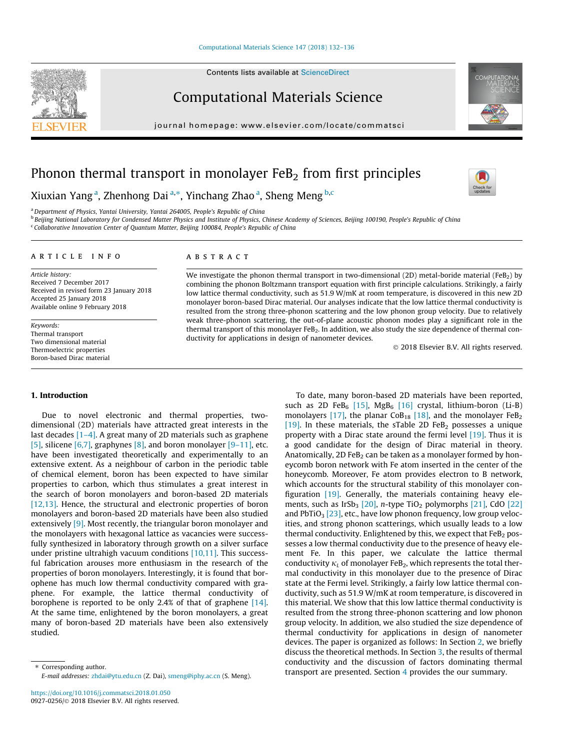### [Computational Materials Science 147 \(2018\) 132–136](https://doi.org/10.1016/j.commatsci.2018.01.050)

Computational Materials Science

journal homepage: [www.elsevier.com/locate/commatsci](http://www.elsevier.com/locate/commatsci)

# Phonon thermal transport in monolayer  $FeB<sub>2</sub>$  from first principles

Xiuxian Yang<sup>a</sup>, Zhenhong Dai<sup>a,</sup>\*, Yinchang Zhao<sup>a</sup>, Sheng Meng <sup>b,c</sup>

<sup>a</sup> Department of Physics, Yantai University, Yantai 264005, People's Republic of China

<sup>b</sup> Beijing National Laboratory for Condensed Matter Physics and Institute of Physics, Chinese Academy of Sciences, Beijing 100190, People's Republic of China <sup>c</sup> Collaborative Innovation Center of Quantum Matter, Beijing 100084, People's Republic of China

### article info

Article history: Received 7 December 2017 Received in revised form 23 January 2018 Accepted 25 January 2018 Available online 9 February 2018

Keywords: Thermal transport Two dimensional material Thermoelectric properties Boron-based Dirac material

## 1. Introduction

Due to novel electronic and thermal properties, twodimensional (2D) materials have attracted great interests in the last decades [\[1–4\]](#page-4-0). A great many of 2D materials such as graphene [\[5\]](#page-4-0), silicene  $[6,7]$ , graphynes  $[8]$ , and boron monolayer  $[9-11]$ , etc. have been investigated theoretically and experimentally to an extensive extent. As a neighbour of carbon in the periodic table of chemical element, boron has been expected to have similar properties to carbon, which thus stimulates a great interest in the search of boron monolayers and boron-based 2D materials [\[12,13\].](#page-4-0) Hence, the structural and electronic properties of boron monolayers and boron-based 2D materials have been also studied extensively [\[9\]](#page-4-0). Most recently, the triangular boron monolayer and the monolayers with hexagonal lattice as vacancies were successfully synthesized in laboratory through growth on a silver surface under pristine ultrahigh vacuum conditions  $[10,11]$ . This successful fabrication arouses more enthusiasm in the research of the properties of boron monolayers. Interestingly, it is found that borophene has much low thermal conductivity compared with graphene. For example, the lattice thermal conductivity of borophene is reported to be only 2.4% of that of graphene [\[14\].](#page-4-0) At the same time, enlightened by the boron monolayers, a great many of boron-based 2D materials have been also extensively studied.

# ABSTRACT

We investigate the phonon thermal transport in two-dimensional (2D) metal-boride material (FeB<sub>2</sub>) by combining the phonon Boltzmann transport equation with first principle calculations. Strikingly, a fairly low lattice thermal conductivity, such as 51.9 W/mK at room temperature, is discovered in this new 2D monolayer boron-based Dirac material. Our analyses indicate that the low lattice thermal conductivity is resulted from the strong three-phonon scattering and the low phonon group velocity. Due to relatively weak three-phonon scattering, the out-of-plane acoustic phonon modes play a significant role in the thermal transport of this monolayer FeB<sub>2</sub>. In addition, we also study the size dependence of thermal conductivity for applications in design of nanometer devices.

2018 Elsevier B.V. All rights reserved.

To date, many boron-based 2D materials have been reported, such as 2D FeB<sub>6</sub> [\[15\]](#page-4-0), MgB<sub>6</sub> [\[16\]](#page-4-0) crystal, lithium-boron (Li-B) monolayers [\[17\],](#page-4-0) the planar  $CoB_{18}$  [\[18\],](#page-4-0) and the monolayer FeB<sub>2</sub>  $[19]$ . In these materials, the sTable 2D FeB<sub>2</sub> possesses a unique property with a Dirac state around the fermi level [\[19\].](#page-4-0) Thus it is a good candidate for the design of Dirac material in theory. Anatomically, 2D FeB<sub>2</sub> can be taken as a monolayer formed by honeycomb boron network with Fe atom inserted in the center of the honeycomb. Moreover, Fe atom provides electron to B network, which accounts for the structural stability of this monolayer configuration [\[19\]](#page-4-0). Generally, the materials containing heavy elements, such as IrSb<sub>3</sub>  $[20]$ , *n*-type TiO<sub>2</sub> polymorphs  $[21]$ , CdO  $[22]$ and PbTiO<sub>3</sub> [\[23\],](#page-4-0) etc., have low phonon frequency, low group velocities, and strong phonon scatterings, which usually leads to a low thermal conductivity. Enlightened by this, we expect that  $FeB<sub>2</sub>$  possesses a low thermal conductivity due to the presence of heavy element Fe. In this paper, we calculate the lattice thermal conductivity  $\kappa_L$  of monolayer FeB<sub>2</sub>, which represents the total thermal conductivity in this monolayer due to the presence of Dirac state at the Fermi level. Strikingly, a fairly low lattice thermal conductivity, such as 51.9 W/mK at room temperature, is discovered in this material. We show that this low lattice thermal conductivity is resulted from the strong three-phonon scattering and low phonon group velocity. In addition, we also studied the size dependence of thermal conductivity for applications in design of nanometer devices. The paper is organized as follows: In Section [2](#page-1-0), we briefly discuss the theoretical methods. In Section [3](#page-1-0), the results of thermal conductivity and the discussion of factors dominating thermal transport are presented. Section [4](#page-4-0) provides the our summary.







<sup>⇑</sup> Corresponding author. E-mail addresses: [zhdai@ytu.edu.cn](mailto:zhdai@ytu.edu.cn) (Z. Dai), [smeng@iphy.ac.cn](mailto:smeng@iphy.ac.cn) (S. Meng).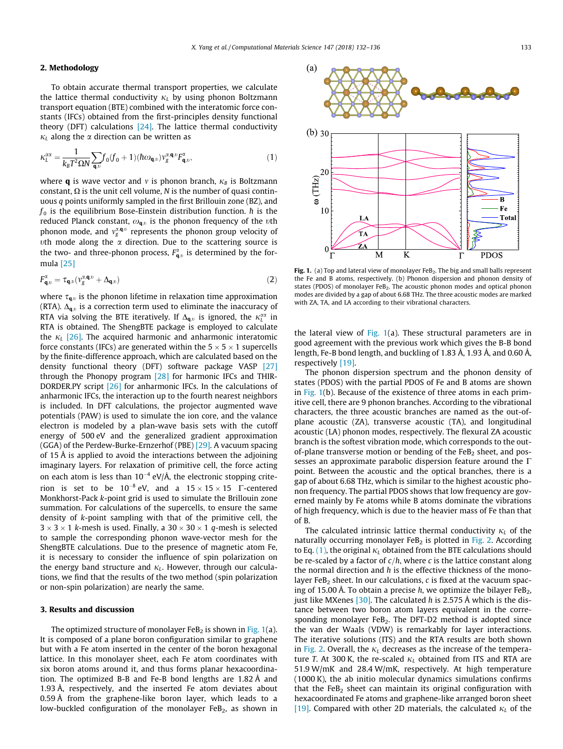## <span id="page-1-0"></span>2. Methodology

To obtain accurate thermal transport properties, we calculate the lattice thermal conductivity  $K_l$  by using phonon Boltzmann transport equation (BTE) combined with the interatomic force constants (IFCs) obtained from the first-principles density functional theory (DFT) calculations [\[24\].](#page-4-0) The lattice thermal conductivity  $\kappa$ <sub>L</sub> along the  $\alpha$  direction can be written as

$$
\kappa_L^{\alpha\alpha} = \frac{1}{k_B T^2 \Omega N} \sum_{\mathbf{q},v} f_0(f_0 + 1)(\hbar \omega_{\mathbf{q},v}) v_g^{\alpha, \mathbf{q},v} F_{\mathbf{q},v}^{\alpha},\tag{1}
$$

where **q** is wave vector and v is phonon branch,  $\kappa_B$  is Boltzmann constant,  $\Omega$  is the unit cell volume, N is the number of quasi continuous q points uniformly sampled in the first Brillouin zone (BZ), and  $f_0$  is the equilibrium Bose-Einstein distribution function.  $\hbar$  is the reduced Planck constant,  $\omega_{\mathbf{q},v}$  is the phonon frequency of the vth phonon mode, and  $v_{\sigma}^{\alpha,\mathbf{q},v}$  represents the phonon group velocity of  $v$ th mode along the  $\alpha$  direction. Due to the scattering source is the two- and three-phonon process,  $F^{\alpha}_{\mathbf{q},v}$  is determined by the formula [\[25\]](#page-4-0)

$$
F_{\mathbf{q},v}^{\alpha} = \tau_{\mathbf{q},v}(\nu_g^{\alpha,\mathbf{q},v} + \Delta_{\mathbf{q},v})
$$
\n(2)

where  $\tau_{\mathbf{q},v}$  is the phonon lifetime in relaxation time approximation (RTA).  $\Delta_{\mathbf{q},v}$  is a correction term used to eliminate the inaccuracy of RTA via solving the BTE iteratively. If  $\Delta_{\mathbf{q},v}$  is ignored, the  $\kappa_{L}^{\alpha\alpha}$  in RTA is obtained. The ShengBTE package is employed to calculate the  $\kappa_l$  [\[26\].](#page-4-0) The acquired harmonic and anharmonic interatomic force constants (IFCs) are generated within the  $5 \times 5 \times 1$  supercells by the finite-difference approach, which are calculated based on the density functional theory (DFT) software package VASP [\[27\]](#page-4-0) through the Phonopy program [\[28\]](#page-4-0) for harmonic IFCs and THIR-DORDER.PY script [\[26\]](#page-4-0) for anharmonic IFCs. In the calculations of anharmonic IFCs, the interaction up to the fourth nearest neighbors is included. In DFT calculations, the projector augmented wave potentials (PAW) is used to simulate the ion core, and the valance electron is modeled by a plan-wave basis sets with the cutoff energy of 500 eV and the generalized gradient approximation (GGA) of the Perdew-Burke-Ernzerhof (PBE) [\[29\]](#page-4-0). A vacuum spacing of 15 Å is applied to avoid the interactions between the adjoining imaginary layers. For relaxation of primitive cell, the force acting on each atom is less than  $10^{-4}$  eV/Å, the electronic stopping criterion is set to be  $10^{-8}$  eV, and a  $15 \times 15 \times 15$  T-centered Monkhorst-Pack k-point grid is used to simulate the Brillouin zone summation. For calculations of the supercells, to ensure the same density of k-point sampling with that of the primitive cell, the  $3 \times 3 \times 1$  k-mesh is used. Finally, a  $30 \times 30 \times 1$  q-mesh is selected to sample the corresponding phonon wave-vector mesh for the ShengBTE calculations. Due to the presence of magnetic atom Fe, it is necessary to consider the influence of spin polarization on the energy band structure and  $\kappa$ <sup>L</sup>. However, through our calculations, we find that the results of the two method (spin polarization or non-spin polarization) are nearly the same.

## 3. Results and discussion

The optimized structure of monolayer FeB<sub>2</sub> is shown in Fig. 1(a). It is composed of a plane boron configuration similar to graphene but with a Fe atom inserted in the center of the boron hexagonal lattice. In this monolayer sheet, each Fe atom coordinates with six boron atoms around it, and thus forms planar hexacoordination. The optimized B-B and Fe-B bond lengths are 1.82 Å and 1.93 Å, respectively, and the inserted Fe atom deviates about 0.59 Å from the graphene-like boron layer, which leads to a low-buckled configuration of the monolayer FeB $_2$ , as shown in



**Fig. 1.** (a) Top and lateral view of monolayer FeB<sub>2</sub>. The big and small balls represent the Fe and B atoms, respectively. (b) Phonon dispersion and phonon density of states (PDOS) of monolayer FeB<sub>2</sub>. The acoustic phonon modes and optical phonon modes are divided by a gap of about 6.68 THz. The three acoustic modes are marked with ZA, TA, and LA according to their vibrational characters.

the lateral view of Fig.  $1(a)$ . These structural parameters are in good agreement with the previous work which gives the B-B bond length, Fe-B bond length, and buckling of 1.83 Å, 1.93 Å, and 0.60 Å, respectively [\[19\]](#page-4-0).

The phonon dispersion spectrum and the phonon density of states (PDOS) with the partial PDOS of Fe and B atoms are shown in Fig. 1(b). Because of the existence of three atoms in each primitive cell, there are 9 phonon branches. According to the vibrational characters, the three acoustic branches are named as the out-ofplane acoustic (ZA), transverse acoustic (TA), and longitudinal acoustic (LA) phonon modes, respectively. The flexural ZA acoustic branch is the softest vibration mode, which corresponds to the outof-plane transverse motion or bending of the  $FeB<sub>2</sub>$  sheet, and possesses an approximate parabolic dispersion feature around the  $\Gamma$ point. Between the acoustic and the optical branches, there is a gap of about 6.68 THz, which is similar to the highest acoustic phonon frequency. The partial PDOS shows that low frequency are governed mainly by Fe atoms while B atoms dominate the vibrations of high frequency, which is due to the heavier mass of Fe than that of B.

The calculated intrinsic lattice thermal conductivity  $\kappa_l$  of the naturally occurring monolayer  $FeB<sub>2</sub>$  is plotted in [Fig. 2.](#page-2-0) According to Eq. (1), the original  $\kappa$ <sub>L</sub> obtained from the BTE calculations should be re-scaled by a factor of  $c/h$ , where c is the lattice constant along the normal direction and  $h$  is the effective thickness of the monolayer FeB<sub>2</sub> sheet. In our calculations,  $c$  is fixed at the vacuum spacing of 15.00 Å. To obtain a precise h, we optimize the bilayer FeB<sub>2</sub>, just like MXenes [\[30\]](#page-4-0). The calculated h is 2.575 Å which is the distance between two boron atom layers equivalent in the corresponding monolayer Fe $B_2$ . The DFT-D2 method is adopted since the van der Waals (VDW) is remarkably for layer interactions. The iterative solutions (ITS) and the RTA results are both shown in [Fig. 2](#page-2-0). Overall, the  $\kappa_L$  decreases as the increase of the temperature T. At 300 K, the re-scaled  $\kappa_L$  obtained from ITS and RTA are 51.9 W/mK and 28.4 W/mK, respectively. At high temperature (1000 K), the ab initio molecular dynamics simulations confirms that the  $FeB<sub>2</sub>$  sheet can maintain its original configuration with hexacoordinated Fe atoms and graphene-like arranged boron sheet [\[19\]](#page-4-0). Compared with other 2D materials, the calculated  $\kappa_L$  of the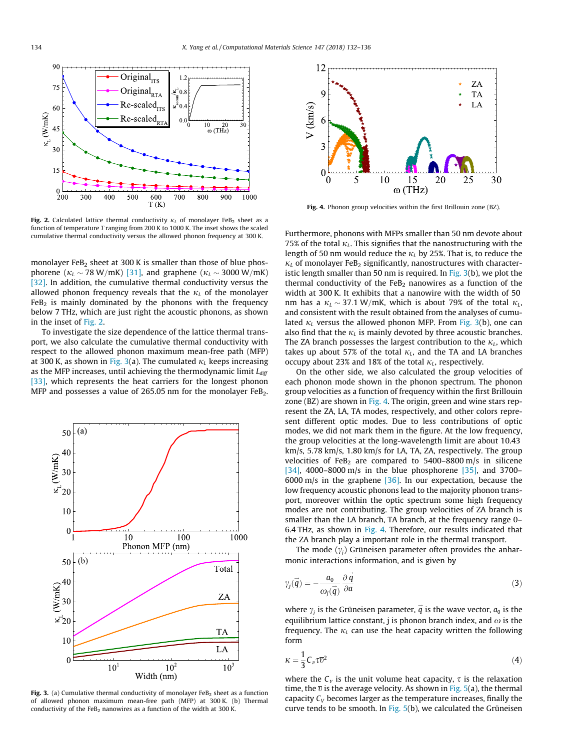<span id="page-2-0"></span>

Fig. 2. Calculated lattice thermal conductivity  $K_L$  of monolayer FeB<sub>2</sub> sheet as a function of temperature T ranging from 200 K to 1000 K. The inset shows the scaled cumulative thermal conductivity versus the allowed phonon frequency at 300 K.

monolayer FeB<sub>2</sub> sheet at 300 K is smaller than those of blue phosphorene ( $\kappa_L \sim 78$  W/mK) [\[31\]](#page-4-0), and graphene ( $\kappa_L \sim 3000$  W/mK) [\[32\]](#page-4-0). In addition, the cumulative thermal conductivity versus the allowed phonon frequency reveals that the  $\kappa$  of the monolayer  $FeB<sub>2</sub>$  is mainly dominated by the phonons with the frequency below 7 THz, which are just right the acoustic phonons, as shown in the inset of Fig. 2.

To investigate the size dependence of the lattice thermal transport, we also calculate the cumulative thermal conductivity with respect to the allowed phonon maximum mean-free path (MFP) at 300 K, as shown in Fig. 3(a). The cumulated  $\kappa$ <sub>L</sub> keeps increasing as the MFP increases, until achieving the thermodynamic limit  $L_{diff}$ [\[33\]](#page-4-0), which represents the heat carriers for the longest phonon MFP and possesses a value of 265.05 nm for the monolayer FeB $_2$ .



Fig. 3. (a) Cumulative thermal conductivity of monolayer FeB<sub>2</sub> sheet as a function of allowed phonon maximum mean-free path (MFP) at 300 K. (b) Thermal conductivity of the FeB<sub>2</sub> nanowires as a function of the width at 300 K.



Fig. 4. Phonon group velocities within the first Brillouin zone (BZ).

Furthermore, phonons with MFPs smaller than 50 nm devote about 75% of the total  $\kappa$ <sub>L</sub>. This signifies that the nanostructuring with the length of 50 nm would reduce the  $\kappa_L$  by 25%. That is, to reduce the  $\kappa_l$  of monolayer FeB<sub>2</sub> significantly, nanostructures with characteristic length smaller than 50 nm is required. In Fig.  $3(b)$ , we plot the thermal conductivity of the  $FeB<sub>2</sub>$  nanowires as a function of the width at 300 K. It exhibits that a nanowire with the width of 50 nm has a  $\kappa$ <sup>L</sup>  $\sim$  37.1 W/mK, which is about 79% of the total  $\kappa$ <sup>L</sup>, and consistent with the result obtained from the analyses of cumulated  $\kappa_l$  versus the allowed phonon MFP. From Fig. 3(b), one can also find that the  $\kappa_L$  is mainly devoted by three acoustic branches. The ZA branch possesses the largest contribution to the  $\kappa_L$ , which takes up about 57% of the total  $\kappa$ <sub>L</sub>, and the TA and LA branches occupy about 23% and 18% of the total  $\kappa$ <sub>L</sub>, respectively.

On the other side, we also calculated the group velocities of each phonon mode shown in the phonon spectrum. The phonon group velocities as a function of frequency within the first Brillouin zone (BZ) are shown in Fig. 4. The origin, green and wine stars represent the ZA, LA, TA modes, respectively, and other colors represent different optic modes. Due to less contributions of optic modes, we did not mark them in the figure. At the low frequency, the group velocities at the long-wavelength limit are about 10.43 km/s, 5.78 km/s, 1.80 km/s for LA, TA, ZA, respectively. The group velocities of FeB<sub>2</sub> are compared to 5400–8800 m/s in silicene [\[34\]](#page-4-0), 4000–8000 m/s in the blue phosphorene [\[35\]](#page-4-0), and 3700– 6000 m/s in the graphene  $[36]$ . In our expectation, because the low frequency acoustic phonons lead to the majority phonon transport, moreover within the optic spectrum some high frequency modes are not contributing. The group velocities of ZA branch is smaller than the LA branch, TA branch, at the frequency range 0– 6.4 THz, as shown in Fig. 4. Therefore, our results indicated that the ZA branch play a important role in the thermal transport.

The mode  $(\gamma_j)$  Grüneisen parameter often provides the anharmonic interactions information, and is given by

$$
\gamma_j(\vec{q}) = -\frac{a_0}{\omega_j(\vec{q})} \frac{\partial \vec{q}}{\partial a} \tag{3}
$$

where  $\gamma_j$  is the Grüneisen parameter,  $\vec{q}$  is the wave vector,  $a_0$  is the equilibrium lattice constant, j is phonon branch index, and  $\omega$  is the frequency. The  $\kappa_L$  can use the heat capacity written the following form

$$
\kappa = \frac{1}{3} C_v \tau \overline{v}^2 \tag{4}
$$

where the  $C_v$  is the unit volume heat capacity,  $\tau$  is the relaxation time, the  $\overline{v}$  is the average velocity. As shown in [Fig. 5](#page-3-0)(a), the thermal capacity  $C_V$  becomes larger as the temperature increases, finally the curve tends to be smooth. In Fig.  $5(b)$ , we calculated the Grüneisen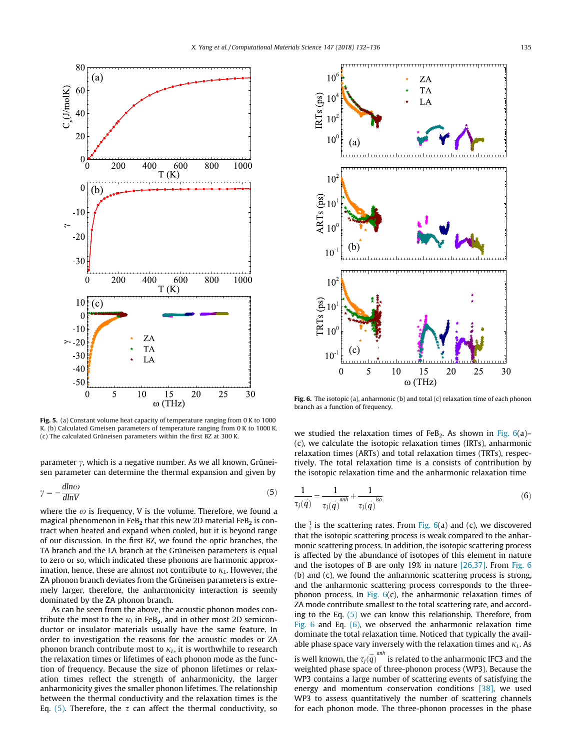<span id="page-3-0"></span>

Fig. 5. (a) Constant volume heat capacity of temperature ranging from 0 K to 1000 K. (b) Calculated Grneisen parameters of temperature ranging from 0 K to 1000 K. (c) The calculated Grüneisen parameters within the first BZ at 300 K.

parameter  $\gamma$ , which is a negative number. As we all known, Grüneisen parameter can determine the thermal expansion and given by

$$
\gamma = -\frac{d \ln \omega}{d \ln V} \tag{5}
$$

where the  $\omega$  is frequency, V is the volume. Therefore, we found a magical phenomenon in FeB<sub>2</sub> that this new 2D material FeB<sub>2</sub> is contract when heated and expand when cooled, but it is beyond range of our discussion. In the first BZ, we found the optic branches, the TA branch and the LA branch at the Grüneisen parameters is equal to zero or so, which indicated these phonons are harmonic approximation, hence, these are almost not contribute to  $\kappa$ <sub>L</sub>. However, the ZA phonon branch deviates from the Grüneisen parameters is extremely larger, therefore, the anharmonicity interaction is seemly dominated by the ZA phonon branch.

As can be seen from the above, the acoustic phonon modes contribute the most to the  $\kappa_l$  in FeB<sub>2</sub>, and in other most 2D semiconductor or insulator materials usually have the same feature. In order to investigation the reasons for the acoustic modes or ZA phonon branch contribute most to  $\kappa$ <sub>L</sub>, it is worthwhile to research the relaxation times or lifetimes of each phonon mode as the function of frequency. Because the size of phonon lifetimes or relaxation times reflect the strength of anharmonicity, the larger anharmonicity gives the smaller phonon lifetimes. The relationship between the thermal conductivity and the relaxation times is the Eq. (5). Therefore, the  $\tau$  can affect the thermal conductivity, so



Fig. 6. The isotopic (a), anharmonic (b) and total (c) relaxation time of each phonon branch as a function of frequency.

we studied the relaxation times of FeB<sub>2</sub>. As shown in Fig.  $6(a)$ -(c), we calculate the isotopic relaxation times (IRTs), anharmonic relaxation times (ARTs) and total relaxation times (TRTs), respectively. The total relaxation time is a consists of contribution by the isotopic relaxation time and the anharmonic relaxation time

$$
\frac{1}{\tau_j(\vec{q})} = \frac{1}{\tau_j(\vec{q})^{\text{anh}}} + \frac{1}{\tau_j(\vec{q})^{\text{iso}}} \tag{6}
$$

the  $\frac{1}{\tau}$  is the scattering rates. From Fig. 6(a) and (c), we discovered that the isotopic scattering process is weak compared to the anharmonic scattering process. In addition, the isotopic scattering process is affected by the abundance of isotopes of this element in nature and the isotopes of B are only 19% in nature [\[26,37\].](#page-4-0) From Fig. 6 (b) and (c), we found the anharmonic scattering process is strong, and the anharmonic scattering process corresponds to the threephonon process. In Fig.  $6(c)$ , the anharmonic relaxation times of ZA mode contribute smallest to the total scattering rate, and according to the Eq. (5) we can know this relationship. Therefore, from Fig. 6 and Eq.  $(6)$ , we observed the anharmonic relaxation time dominate the total relaxation time. Noticed that typically the available phase space vary inversely with the relaxation times and  $\kappa_L$ . As is well known, the  $\tau_j(\vec{q})^{anh}$  is related to the anharmonic IFC3 and the weighted phase space of three-phonon process (WP3). Because the WP3 contains a large number of scattering events of satisfying the energy and momentum conservation conditions [\[38\]](#page-4-0), we used WP3 to assess quantitatively the number of scattering channels for each phonon mode. The three-phonon processes in the phase